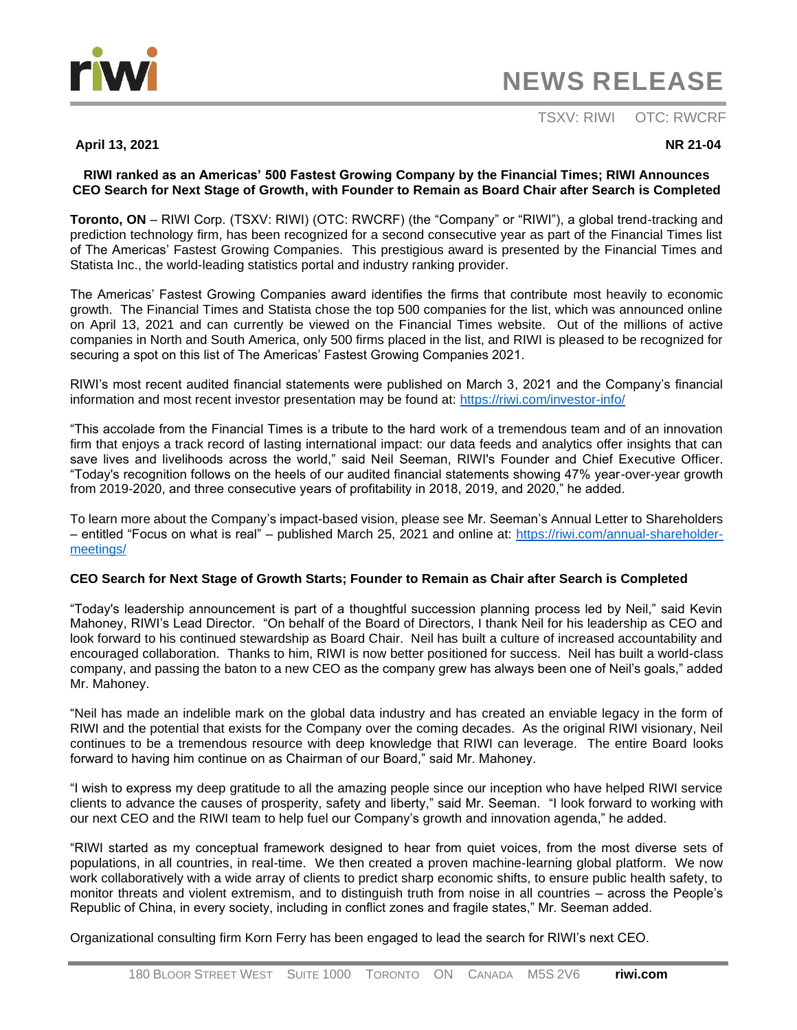

# **NEWS RELEASE**

# TSXV: RIWI OTC: RWCRF

# **April 13, 2021** NR 21-04

# **RIWI ranked as an Americas' 500 Fastest Growing Company by the Financial Times; RIWI Announces CEO Search for Next Stage of Growth, with Founder to Remain as Board Chair after Search is Completed**

**Toronto, ON** – RIWI Corp. (TSXV: RIWI) (OTC: RWCRF) (the "Company" or "RIWI"), a global trend-tracking and prediction technology firm, has been recognized for a second consecutive year as part of the Financial Times list of The Americas' Fastest Growing Companies. This prestigious award is presented by the Financial Times and Statista Inc., the world-leading statistics portal and industry ranking provider.

The Americas' Fastest Growing Companies award identifies the firms that contribute most heavily to economic growth. The Financial Times and Statista chose the top 500 companies for the list, which was announced online on April 13, 2021 and can currently be viewed on the Financial Times website. Out of the millions of active companies in North and South America, only 500 firms placed in the list, and RIWI is pleased to be recognized for securing a spot on this list of The Americas' Fastest Growing Companies 2021.

RIWI's most recent audited financial statements were published on March 3, 2021 and the Company's financial information and most recent investor presentation may be found at:<https://riwi.com/investor-info/>

"This accolade from the Financial Times is a tribute to the hard work of a tremendous team and of an innovation firm that enjoys a track record of lasting international impact: our data feeds and analytics offer insights that can save lives and livelihoods across the world," said Neil Seeman, RIWI's Founder and Chief Executive Officer. "Today's recognition follows on the heels of our audited financial statements showing 47% year-over-year growth from 2019-2020, and three consecutive years of profitability in 2018, 2019, and 2020," he added.

To learn more about the Company's impact-based vision, please see Mr. Seeman's Annual Letter to Shareholders – entitled "Focus on what is real" – published March 25, 2021 and online at: [https://riwi.com/annual-shareholder](https://riwi.com/annual-shareholder-meetings/)[meetings/](https://riwi.com/annual-shareholder-meetings/)

# **CEO Search for Next Stage of Growth Starts; Founder to Remain as Chair after Search is Completed**

"Today's leadership announcement is part of a thoughtful succession planning process led by Neil," said Kevin Mahoney, RIWI's Lead Director. "On behalf of the Board of Directors, I thank Neil for his leadership as CEO and look forward to his continued stewardship as Board Chair. Neil has built a culture of increased accountability and encouraged collaboration. Thanks to him, RIWI is now better positioned for success. Neil has built a world-class company, and passing the baton to a new CEO as the company grew has always been one of Neil's goals," added Mr. Mahoney.

"Neil has made an indelible mark on the global data industry and has created an enviable legacy in the form of RIWI and the potential that exists for the Company over the coming decades. As the original RIWI visionary, Neil continues to be a tremendous resource with deep knowledge that RIWI can leverage. The entire Board looks forward to having him continue on as Chairman of our Board," said Mr. Mahoney.

"I wish to express my deep gratitude to all the amazing people since our inception who have helped RIWI service clients to advance the causes of prosperity, safety and liberty," said Mr. Seeman. "I look forward to working with our next CEO and the RIWI team to help fuel our Company's growth and innovation agenda," he added.

"RIWI started as my conceptual framework designed to hear from quiet voices, from the most diverse sets of populations, in all countries, in real-time. We then created a proven machine-learning global platform. We now work collaboratively with a wide array of clients to predict sharp economic shifts, to ensure public health safety, to monitor threats and violent extremism, and to distinguish truth from noise in all countries – across the People's Republic of China, in every society, including in conflict zones and fragile states," Mr. Seeman added.

Organizational consulting firm Korn Ferry has been engaged to lead the search for RIWI's next CEO.